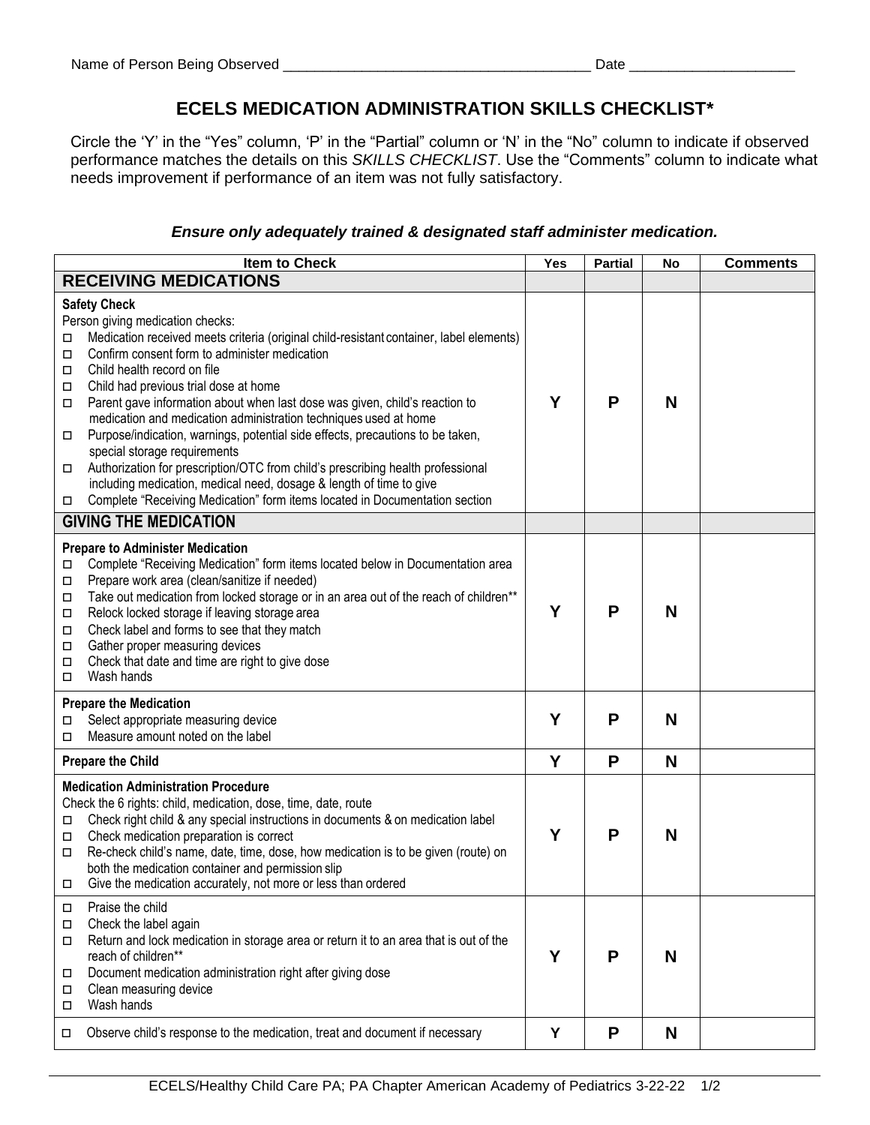## **ECELS MEDICATION ADMINISTRATION SKILLS CHECKLIST\***

Circle the 'Y' in the "Yes" column, 'P' in the "Partial" column or 'N' in the "No" column to indicate if observed performance matches the details on this *SKILLS CHECKLIST*. Use the "Comments" column to indicate what needs improvement if performance of an item was not fully satisfactory.

## *Ensure only adequately trained & designated staff administer medication.*

| Item to Check                                                                                                                                                                                                                                                                                                                                                                                                                                                                                                                                                                                                                                                                                                                                                                                                                     | Yes | <b>Partial</b> | No | <b>Comments</b> |
|-----------------------------------------------------------------------------------------------------------------------------------------------------------------------------------------------------------------------------------------------------------------------------------------------------------------------------------------------------------------------------------------------------------------------------------------------------------------------------------------------------------------------------------------------------------------------------------------------------------------------------------------------------------------------------------------------------------------------------------------------------------------------------------------------------------------------------------|-----|----------------|----|-----------------|
| <b>RECEIVING MEDICATIONS</b>                                                                                                                                                                                                                                                                                                                                                                                                                                                                                                                                                                                                                                                                                                                                                                                                      |     |                |    |                 |
| <b>Safety Check</b><br>Person giving medication checks:<br>Medication received meets criteria (original child-resistant container, label elements)<br>□<br>Confirm consent form to administer medication<br>□<br>Child health record on file<br>□<br>Child had previous trial dose at home<br>□<br>Parent gave information about when last dose was given, child's reaction to<br>П<br>medication and medication administration techniques used at home<br>Purpose/indication, warnings, potential side effects, precautions to be taken,<br>□<br>special storage requirements<br>Authorization for prescription/OTC from child's prescribing health professional<br>□<br>including medication, medical need, dosage & length of time to give<br>Complete "Receiving Medication" form items located in Documentation section<br>□ | Y   | P              | N  |                 |
| <b>GIVING THE MEDICATION</b>                                                                                                                                                                                                                                                                                                                                                                                                                                                                                                                                                                                                                                                                                                                                                                                                      |     |                |    |                 |
| <b>Prepare to Administer Medication</b><br>Complete "Receiving Medication" form items located below in Documentation area<br>П<br>Prepare work area (clean/sanitize if needed)<br>$\Box$<br>Take out medication from locked storage or in an area out of the reach of children**<br>$\Box$<br>Relock locked storage if leaving storage area<br>$\Box$<br>Check label and forms to see that they match<br>$\Box$<br>Gather proper measuring devices<br>Д<br>Check that date and time are right to give dose<br>$\Box$<br>Wash hands<br>$\Box$                                                                                                                                                                                                                                                                                      | Y   | P              | N  |                 |
| <b>Prepare the Medication</b><br>Select appropriate measuring device<br>□                                                                                                                                                                                                                                                                                                                                                                                                                                                                                                                                                                                                                                                                                                                                                         | Y   | P              | N  |                 |
| Measure amount noted on the label<br>□                                                                                                                                                                                                                                                                                                                                                                                                                                                                                                                                                                                                                                                                                                                                                                                            |     |                |    |                 |
| <b>Prepare the Child</b>                                                                                                                                                                                                                                                                                                                                                                                                                                                                                                                                                                                                                                                                                                                                                                                                          | Y   | P              | N  |                 |
| <b>Medication Administration Procedure</b><br>Check the 6 rights: child, medication, dose, time, date, route<br>Check right child & any special instructions in documents & on medication label<br>□<br>Check medication preparation is correct<br>$\Box$<br>Re-check child's name, date, time, dose, how medication is to be given (route) on<br>□<br>both the medication container and permission slip<br>Give the medication accurately, not more or less than ordered<br>□                                                                                                                                                                                                                                                                                                                                                    | Y   | P              | N  |                 |
| Praise the child<br>□<br>Check the label again<br>□<br>Return and lock medication in storage area or return it to an area that is out of the<br>□<br>reach of children**<br>Document medication administration right after giving dose<br>□<br>Clean measuring device<br>□<br>Wash hands<br>П                                                                                                                                                                                                                                                                                                                                                                                                                                                                                                                                     | Υ   | P              | N  |                 |
| Observe child's response to the medication, treat and document if necessary<br>□                                                                                                                                                                                                                                                                                                                                                                                                                                                                                                                                                                                                                                                                                                                                                  | Υ   | P              | N  |                 |